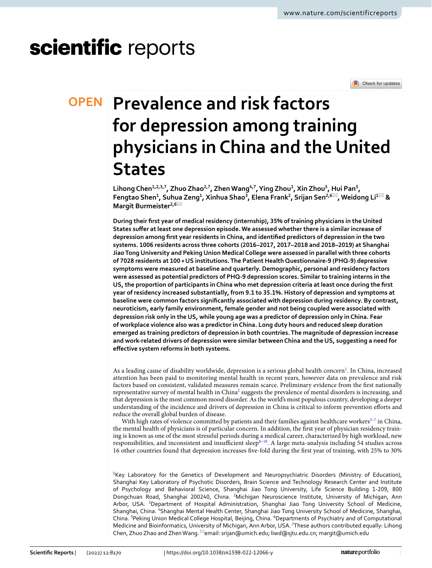# scientific reports



## **Prevalence and risk factors OPEN for depression among training physicians in China and the United States**

**Lihong Chen1,2,3,7, Zhuo Zhao2,7, ZhenWang4,7, Ying Zhou1 , Xin Zhou5 , Hui Pan5 , Fengtao Shen1 , Suhua Zeng1 , Xinhua Shao3 , Elena Frank2 , Srijan Sen2,6**\***, Weidong Li1**\* **& Margit Burmeister**<sup>2,6⊠</sup>

**During their frst year of medical residency (internship), 35% of training physicians in the United States sufer at least one depression episode. We assessed whether there is a similar increase of depression among frst year residents in China, and identifed predictors of depression in the two systems. 1006 residents across three cohorts (2016–2017, 2017–2018 and 2018–2019) at Shanghai Jiao Tong University and Peking Union Medical College were assessed in parallel with three cohorts of 7028 residents at 100 +US institutions. The Patient Health Questionnaire-9 (PHQ-9) depressive symptoms were measured at baseline and quarterly. Demographic, personal and residency factors were assessed as potential predictors of PHQ-9 depression scores. Similar to training interns in the US, the proportion of participants in China who met depression criteria at least once during the frst year of residency increased substantially, from 9.1 to 35.1%. History of depression and symptoms at baseline were common factors signifcantly associated with depression during residency. By contrast, neuroticism, early family environment, female gender and not being coupled were associated with depression risk only in the US, while young age was a predictor of depression only in China. Fear of workplace violence also was a predictor in China. Long duty hours and reduced sleep duration emerged as training predictors of depression in both countries. The magnitude of depression increase and work-related drivers of depression were similar between China and the US, suggesting a need for efective system reforms in both systems.**

As a leading cause of disability worldwide, depression is a serious global health concern<sup>[1](#page-5-0)</sup>. In China, increased attention has been paid to monitoring mental health in recent years, however data on prevalence and risk factors based on consistent, validated measures remain scarce. Preliminary evidence from the frst nationally representative survey of mental health in China<sup>[2](#page-5-1)</sup> suggests the prevalence of mental disorders is increasing, and that depression is the most common mood disorder. As the world's most populous country, developing a deeper understanding of the incidence and drivers of depression in China is critical to inform prevention eforts and reduce the overall global burden of disease.

With high rates of violence committed by patients and their families against healthcare workers<sup>3-[7](#page-5-3)</sup> in China, the mental health of physicians is of particular concern. In addition, the frst year of physician residency training is known as one of the most stressful periods during a medical career, characterized by high workload, new responsibilities, and inconsistent and insufficient sleep<sup>8-10</sup>. A large meta-analysis including 54 studies across 16 other countries found that depression increases fve-fold during the frst year of training, with 25% to 30%

<sup>1</sup>Key Laboratory for the Genetics of Development and Neuropsychiatric Disorders (Ministry of Education), Shanghai Key Laboratory of Psychotic Disorders, Brain Science and Technology Research Center and Institute of Psychology and Behavioral Science, Shanghai Jiao Tong University, Life Science Building 1‑209, 800 Dongchuan Road, Shanghai 200240, China. <sup>2</sup>Michigan Neuroscience Institute, University of Michigan, Ann Arbor, USA. <sup>3</sup>Department of Hospital Administration, Shanghai Jiao Tong University School of Medicine, Shanghai, China. <sup>4</sup>Shanghai Mental Health Center, Shanghai Jiao Tong University School of Medicine, Shanghai, China. <sup>5</sup>Peking Union Medical College Hospital, Beijing, China. <sup>6</sup>Departments of Psychiatry and of Computational Medicine and Bioinformatics, University of Michigan, Ann Arbor, USA. 7These authors contributed equally: Lihong Chen, Zhuo Zhao and Zhen Wang. <sup>⊠</sup>email: srijan@umich.edu; liwd@sjtu.edu.cn; margit@umich.edu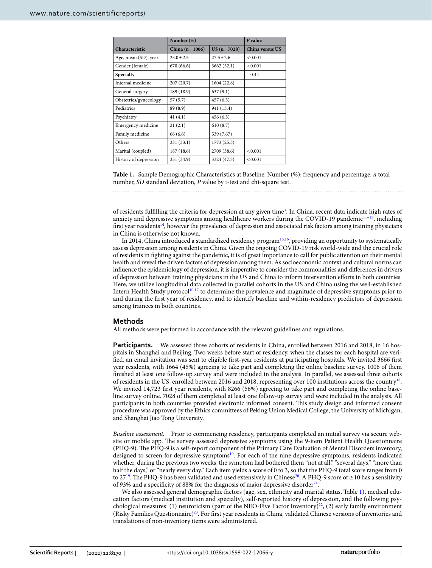|                       | Number (%)       | P value         |                 |
|-----------------------|------------------|-----------------|-----------------|
| Characteristic        | China $(n=1006)$ | $US (n = 7028)$ | China versus US |
| Age, mean (SD), year  | $25.0 \pm 2.5$   | $27.5 \pm 2.6$  | < 0.001         |
| Gender (female)       | 670 (66.6)       | 3662 (52.1)     | ${}_{<0.001}$   |
| Specialty             |                  |                 | 0.44            |
| Internal medicine     | 207 (20.7)       | 1604 (22.8)     |                 |
| General surgery       | 189 (18.9)       | 637(9.1)        |                 |
| Obstetrics/gynecology | 57 (5.7)         | 457(6.5)        |                 |
| Pediatrics            | 89 (8.9)         | 941 (13.4)      |                 |
| Psychiatry            | 41(4.1)          | 456(6.5)        |                 |
| Emergency medicine    | 21(2.1)          | 610(8.7)        |                 |
| Family medicine       | 66 (6.6)         | 539 (7.67)      |                 |
| Others                | 331 (33.1)       | 1773 (25.3)     |                 |
| Marital (coupled)     | 187 (18.6)       | 2709 (38.6)     | ${}_{<0.001}$   |
| History of depression | 351 (34.9)       | 3324 (47.3)     | < 0.001         |

<span id="page-1-0"></span>**Table 1.** Sample Demographic Characteristics at Baseline. Number (%): frequency and percentage. *n* total number, *SD* standard deviation, *P* value by t-test and chi-square test.

of residents fulfilling the criteria for depression at any given time<sup>[3](#page-5-2)</sup>. In China, recent data indicate high rates of anxiety and depressive symptoms among healthcare workers during the COVID-19 pandemic<sup>11-13</sup>, including first year residents<sup>[14](#page-5-8)</sup>, however the prevalence of depression and associated risk factors among training physicians in China is otherwise not known.

In 2014, China introduced a standardized residency program[15](#page-5-9),[16](#page-5-10), providing an opportunity to systematically assess depression among residents in China. Given the ongoing COVID-19 risk world-wide and the crucial role of residents in fghting against the pandemic, it is of great importance to call for public attention on their mental health and reveal the driven factors of depression among them. As socioeconomic context and cultural norms can infuence the epidemiology of depression, it is imperative to consider the commonalities and diferences in drivers of depression between training physicians in the US and China to inform intervention eforts in both countries. Here, we utilize longitudinal data collected in parallel cohorts in the US and China using the well-established Intern Health Study protocol<sup>10,17</sup> to determine the prevalence and magnitude of depressive symptoms prior to and during the frst year of residency, and to identify baseline and within-residency predictors of depression among trainees in both countries.

#### **Methods**

All methods were performed in accordance with the relevant guidelines and regulations.

**Participants.** We assessed three cohorts of residents in China, enrolled between 2016 and 2018, in 16 hospitals in Shanghai and Beijing. Two weeks before start of residency, when the classes for each hospital are verifed, an email invitation was sent to eligible frst-year residents at participating hospitals. We invited 3666 frst year residents, with 1664 (45%) agreeing to take part and completing the online baseline survey. 1006 of them fnished at least one follow-up survey and were included in the analysis. In parallel, we assessed three cohorts of residents in the US, enrolled between 2016 and 2018, representing over 100 institutions across the country[18](#page-5-12). We invited 14,723 frst year residents, with 8266 (56%) agreeing to take part and completing the online baseline survey online. 7028 of them completed at least one follow-up survey and were included in the analysis. All participants in both countries provided electronic informed consent. Tis study design and informed consent procedure was approved by the Ethics committees of Peking Union Medical College, the University of Michigan, and Shanghai Jiao Tong University.

*Baseline assessment.* Prior to commencing residency, participants completed an initial survey via secure website or mobile app. The survey assessed depressive symptoms using the 9-item Patient Health Questionnaire (PHQ-9). The PHQ-9 is a self-report component of the Primary Care Evaluation of Mental Disorders inventory, designed to screen for depressive symptoms<sup>[19](#page-5-13)</sup>. For each of the nine depressive symptoms, residents indicated whether, during the previous two weeks, the symptom had bothered them "not at all," "several days," "more than half the days," or "nearly every day." Each item yields a score of 0 to 3, so that the PHQ-9 total score ranges from 0 to 27<sup>[19](#page-5-13)</sup>. The PHQ-9 has been validated and used extensively in Chinese<sup>[20](#page-5-14)</sup>. A PHQ-9 score of  $\geq$  10 has a sensitivity of 93% and a specificity of 88% for the diagnosis of major depressive disorder<sup>21</sup>.

We also assessed general demographic factors (age, sex, ethnicity and marital status, Table [1](#page-1-0)), medical education factors (medical institution and specialty), self-reported history of depression, and the following psychological measures: (1) neuroticism (part of the NEO-Five Factor Inventory)<sup>22</sup>, (2) early family environment (Risky Families Questionnaire[\)23.](#page-5-17) For frst year residents in China, validated Chinese versions of inventories and translations of non-inventory items were administered.

2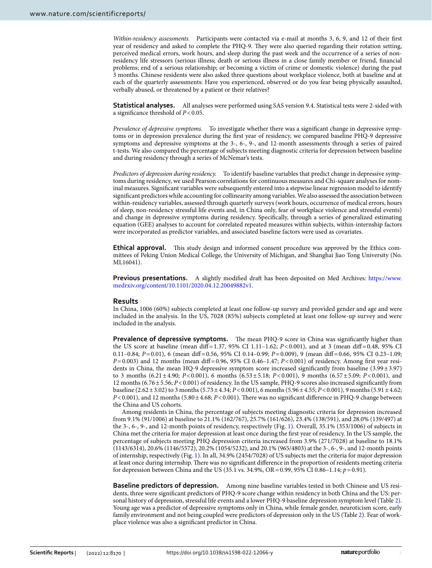*Within‑residency assessments.* Participants were contacted via e-mail at months 3, 6, 9, and 12 of their frst year of residency and asked to complete the PHQ-9. They were also queried regarding their rotation setting, perceived medical errors, work hours, and sleep during the past week and the occurrence of a series of nonresidency life stressors (serious illness; death or serious illness in a close family member or friend, fnancial problems; end of a serious relationship; or becoming a victim of crime or domestic violence) during the past 3 months. Chinese residents were also asked three questions about workplace violence, both at baseline and at each of the quarterly assessments: Have you experienced, observed or do you fear being physically assaulted, verbally abused, or threatened by a patient or their relatives?

**Statistical analyses.** All analyses were performed using SAS version 9.4. Statistical tests were 2-sided with a signifcance threshold of *P*<0.05.

*Prevalence of depressive symptoms.* To investigate whether there was a signifcant change in depressive symptoms or in depression prevalence during the frst year of residency, we compared baseline PHQ-9 depressive symptoms and depressive symptoms at the 3-, 6-, 9-, and 12-month assessments through a series of paired t-tests. We also compared the percentage of subjects meeting diagnostic criteria for depression between baseline and during residency through a series of McNemar's tests.

*Predictors of depression during residency.* To identify baseline variables that predict change in depressive symptoms during residency, we used Pearson correlations for continuous measures and Chi-square analyses for nominal measures. Signifcant variables were subsequently entered into a stepwise linear regression model to identify signifcant predictors while accounting for collinearity among variables. We also assessed the association between within-residency variables, assessed through quarterly surveys (work hours, occurrence of medical errors, hours of sleep, non-residency stressful life events and, in China only, fear of workplace violence and stressful events) and change in depressive symptoms during residency. Specifcally, through a series of generalized estimating equation (GEE) analyses to account for correlated repeated measures within subjects, within-internship factors were incorporated as predictor variables, and associated baseline factors were used as covariates.

**Ethical approval.** This study design and informed consent procedure was approved by the Ethics committees of Peking Union Medical College, the University of Michigan, and Shanghai Jiao Tong University (No. ML16041).

**Previous presentations.** A slightly modified draft has been deposited on Med Archives: [https://www.](https://www.medrxiv.org/content/10.1101/2020.04.12.20049882v1) [medrxiv.org/content/10.1101/2020.04.12.20049882v1](https://www.medrxiv.org/content/10.1101/2020.04.12.20049882v1).

#### **Results**

In China, 1006 (60%) subjects completed at least one follow-up survey and provided gender and age and were included in the analysis. In the US, 7028 (85%) subjects completed at least one follow-up survey and were included in the analysis.

Prevalence of depressive symptoms. The mean PHQ-9 score in China was significantly higher than the US score at baseline (mean dif=1.37, 95% CI 1.11–1.62; *P*<0.001), and at 3 (mean dif=0.48, 95% CI 0.11–0.84; *P*=0.01), 6 (mean dif=0.56, 95% CI 0.14–0.99; *P*=0.009), 9 (mean dif=0.66, 95% CI 0.23–1.09; *P*=0.003) and 12 months (mean diff=0.96, 95% CI 0.46–1.47; *P*<0.001) of residency. Among first year residents in China, the mean HQ-9 depressive symptom score increased significantly from baseline  $(3.99 \pm 3.97)$ to 3 months (6.21±4.90; *P*<0.001), 6 months (6.53±5.18; *P*<0.001), 9 months (6.57±5.09; *P*<0.001), and 12 months (6.76±5.56; *P*<0.001) of residency. In the US sample, PHQ-9 scores also increased significantly from baseline (2.62±3.02) to 3 months (5.73±4.34; *P*<0.001), 6 months (5.96±4.55; *P*<0.001), 9 months (5.91±4.62; *P*<0.001), and 12 months (5.80 ± 4.68; *P*<0.001). There was no significant difference in PHQ-9 change between the China and US cohorts.

Among residents in China, the percentage of subjects meeting diagnostic criteria for depression increased from 9.1% (91/1006) at baseline to 21.1% (162/767), 25.7% (161/626), 23.4% (138/591), and 28.0% (139/497) at the 3-, 6-, 9-, and 12-month points of residency, respectively (Fig. [1](#page-3-0)). Overall, 35.1% (353/1006) of subjects in China met the criteria for major depression at least once during the frst year of residency. In the US sample, the percentage of subjects meeting PHQ depression criteria increased from 3.9% (271/7028) at baseline to 18.1% (1143/6314), 20.6% (1146/5572), 20.2% (1054/5232), and 20.1% (965/4803) at the 3-, 6-, 9-, and 12-month points of internship, respectively (Fig. [1\)](#page-3-0). In all, 34.9% (2454/7028) of US subjects met the criteria for major depression at least once during internship. There was no significant difference in the proportion of residents meeting criteria for depression between China and the US (35.1 vs. 34.9%, OR=0.99, 95% CI 0.86–1.14; *p*=0.91).

**Baseline predictors of depression.** Among nine baseline variables tested in both Chinese and US residents, three were signifcant predictors of PHQ-9 score change within residency in both China and the US: personal history of depression, stressful life events and a lower PHQ-9 baseline depression symptom level (Table [2](#page-3-1)). Young age was a predictor of depressive symptoms only in China, while female gender, neuroticism score, early family environment and not being coupled were predictors of depression only in the US (Table [2\)](#page-3-1). Fear of workplace violence was also a signifcant predictor in China.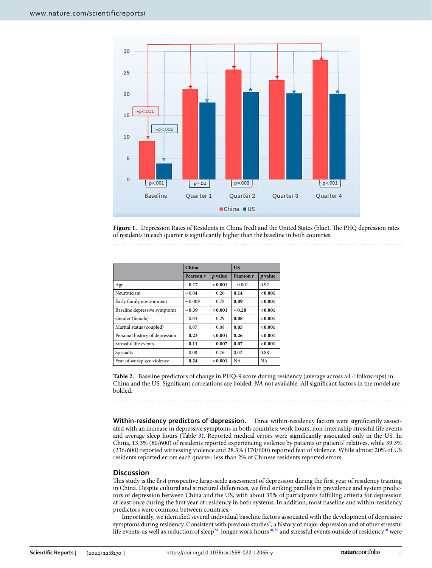

<span id="page-3-0"></span>Figure 1. Depression Rates of Residents in China (red) and the United States (blue). The PHQ depression rates of residents in each quarter is signifcantly higher than the baseline in both countries.

|                                | China     |         | <b>US</b> |           |
|--------------------------------|-----------|---------|-----------|-----------|
|                                | Pearson r | p value | Pearson r | $p$ value |
| Age                            | $-0.17$   | < 0.001 | $-0.001$  | 0.92      |
| Neuroticism                    | $-0.04$   | 0.26    | 0.14      | < 0.001   |
| Early family environment       | $-0.009$  | 0.78    | 0.09      | < 0.001   |
| Baseline depressive symptoms   | $-0.39$   | < 0.001 | $-0.28$   | < 0.001   |
| Gender (female)                | 0.04      | 0.29    | 0.08      | < 0.001   |
| Marital status (coupled)       | 0.07      | 0.08    | 0.05      | < 0.001   |
| Personal history of depression | 0.23      | < 0.001 | 0.26      | < 0.001   |
| Stressful life events          | 0.11      | 0.007   | 0.07      | < 0.001   |
| Specialty                      | 0.08      | 0.76    | 0.02      | 0.88      |
| Fear of workplace violence     | 0.24      | < 0.001 | NA        | <b>NA</b> |

<span id="page-3-1"></span>**Table 2.** Baseline predictors of change in PHQ-9 score during residency (average across all 4 follow-ups) in China and the US. Signifcant correlations are bolded. *NA* not available. All signifcant factors in the model are bolded.

Within-residency predictors of depression. Three within-residency factors were significantly associated with an increase in depressive symptoms in both countries: work hours, non-internship stressful life events and average sleep hours (Table [3\)](#page-4-0). Reported medical errors were signifcantly associated only in the US. In China, 13.3% (80/600) of residents reported experiencing violence by patients or patients' relatives, while 39.3% (236/600) reported witnessing violence and 28.3% (170/600) reported fear of violence. While almost 20% of US residents reported errors each quarter, less than 2% of Chinese residents reported errors.

#### **Discussion**

Tis study is the frst prospective large-scale assessment of depression during the frst year of residency training in China. Despite cultural and structural diferences, we fnd striking parallels in prevalence and system predictors of depression between China and the US, with about 35% of participants fulflling criteria for depression at least once during the frst year of residency in both systems. In addition, most baseline and within-residency predictors were common between countries.

Importantly, we identifed several individual baseline factors associated with the development of depressive symptoms during residency. Consistent with previous studies<sup>[9](#page-5-18)</sup>, a history of major depression and of other stressful life events, as well as reduction of sleep<sup>24</sup>, longer work hours<sup>[10,](#page-5-5)25</sup> and stressful events outside of residency<sup>[10](#page-5-5)</sup> were

4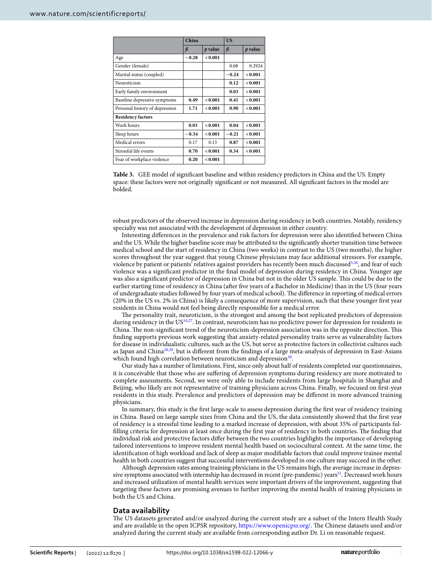|                                | China   |         | <b>US</b> |         |  |
|--------------------------------|---------|---------|-----------|---------|--|
|                                | ß       | p value | $\beta$   | p value |  |
| Age                            | $-0.28$ | < 0.001 |           |         |  |
| Gender (female)                |         |         | 0.08      | 0.2924  |  |
| Marital status (coupled)       |         |         | $-0.24$   | < 0.001 |  |
| Neuroticism                    |         |         | 0.12      | < 0.001 |  |
| Early family environment       |         |         | 0.03      | < 0.001 |  |
| Baseline depressive symptoms   | 0.49    | < 0.001 | 0.41      | < 0.001 |  |
| Personal history of depression | 1.71    | < 0.001 | 0.90      | < 0.001 |  |
| <b>Residency factors</b>       |         |         |           |         |  |
| Work hours                     | 0.03    | < 0.001 | 0.04      | < 0.001 |  |
| Sleep hours                    | $-0.34$ | < 0.001 | $-0.21$   | < 0.001 |  |
| Medical errors                 | 0.17    | 0.13    | 0.87      | < 0.001 |  |
| Stressful life events          | 0.70    | < 0.001 | 0.34      | < 0.001 |  |
| Fear of workplace violence     | 0.20    | < 0.001 |           |         |  |

<span id="page-4-0"></span>**Table 3.** GEE model of signifcant baseline and within residency predictors in China and the US. Empty space: these factors were not originally signifcant or not measured. All signifcant factors in the model are bolded.

robust predictors of the observed increase in depression during residency in both countries. Notably, residency specialty was not associated with the development of depression in either country.

Interesting diferences in the prevalence and risk factors for depression were also identifed between China and the US. While the higher baseline score may be attributed to the signifcantly shorter transition time between medical school and the start of residency in China (two weeks) in contrast to the US (two months), the higher scores throughout the year suggest that young Chinese physicians may face additional stressors. For example, violence by patient or patients' relatives against providers has recently been much discussed<sup>[5](#page-5-21),[26](#page-5-22)</sup>, and fear of such violence was a signifcant predictor in the fnal model of depression during residency in China. Younger age was also a significant predictor of depression in China but not in the older US sample. This could be due to the earlier starting time of residency in China (afer fve years of a Bachelor in Medicine) than in the US (four years of undergraduate studies followed by four years of medical school). Te diference in reporting of medical errors (20% in the US vs. 2% in China) is likely a consequence of more supervision, such that these younger frst year residents in China would not feel being directly responsible for a medical error.

The personality trait, neuroticism, is the strongest and among the best replicated predictors of depression during residency in the US<sup>[10](#page-5-5),[27](#page-5-23)</sup>. In contrast, neuroticism has no predictive power for depression for residents in China. The non-significant trend of the neuroticism-depression association was in the opposite direction. This fnding supports previous work suggesting that anxiety-related personality traits serve as vulnerability factors for disease in individualistic cultures, such as the US, but serve as protective factors in collectivist cultures such as Japan and China[28,](#page-5-24)[29,](#page-5-25) but is diferent from the fndings of a large meta-analysis of depression in East-Asians which found high correlation between neuroticism and depression<sup>[30](#page-5-26)</sup>.

Our study has a number of limitations. First, since only about half of residents completed our questionnaires, it is conceivable that those who are sufering of depression symptoms during residency are more motivated to complete assessments. Second, we were only able to include residents from large hospitals in Shanghai and Beijing, who likely are not representative of training physicians across China. Finally, we focused on frst-year residents in this study. Prevalence and predictors of depression may be diferent in more advanced training physicians.

In summary, this study is the frst large-scale to assess depression during the frst year of residency training in China. Based on large sample sizes from China and the US, the data consistently showed that the frst year of residency is a stressful time leading to a marked increase of depression, with about 35% of participants fulfilling criteria for depression at least once during the first year of residency in both countries. The finding that individual risk and protective factors difer between the two countries highlights the importance of developing tailored interventions to improve resident mental health based on sociocultural context. At the same time, the identifcation of high workload and lack of sleep as major modifable factors that could improve trainee mental health in both countries suggest that successful interventions developed in one culture may succeed in the other.

Although depression rates among training physicians in the US remains high, the average increase in depressive symptoms associated with internship has decreased in recent (pre-pandemic) years<sup>31</sup>. Decreased work hours and increased utilization of mental health services were important drivers of the improvement, suggesting that targeting these factors are promising avenues to further improving the mental health of training physicians in both the US and China.

#### **Data availability**

The US datasets generated and/or analyzed during the current study are a subset of the Intern Health Study and are available in the open ICPSR repository, <https://www.openicpsr.org/>. The Chinese datasets used and/or analyzed during the current study are available from corresponding author Dr. Li on reasonable request.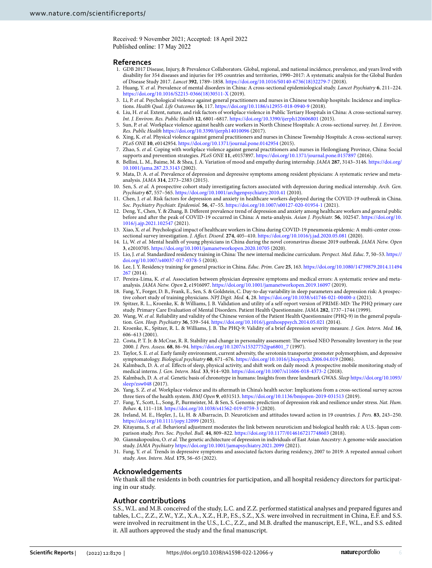Received: 9 November 2021; Accepted: 18 April 2022 Published online: 17 May 2022

#### **References**

- <span id="page-5-0"></span>1. GDB 2017 Disease, Injury, & Prevalence Collaborators. Global, regional, and national incidence, prevalence, and years lived with disability for 354 diseases and injuries for 195 countries and territories, 1990–2017: A systematic analysis for the Global Burden of Disease Study 2017. *Lancet* **392**, 1789–1858. [https://doi.org/10.1016/S0140-6736\(18\)32279-7](https://doi.org/10.1016/S0140-6736(18)32279-7) (2018).
- <span id="page-5-1"></span>2. Huang, Y. *et al.* Prevalence of mental disorders in China: A cross-sectional epidemiological study. *Lancet Psychiatry* **6**, 211–224. [https://doi.org/10.1016/S2215-0366\(18\)30511-X](https://doi.org/10.1016/S2215-0366(18)30511-X) (2019).
- <span id="page-5-2"></span>3. Li, P. *et al.* Psychological violence against general practitioners and nurses in Chinese township hospitals: Incidence and implications. *Health Qual. Life Outcomes* **16**, 117. <https://doi.org/10.1186/s12955-018-0940-9>(2018).
- 4. Liu, H. *et al.* Extent, nature, and risk factors of workplace violence in Public Tertiary Hospitals in China: A cross-sectional survey. *Int. J. Environ. Res. Public Health* **12**, 6801–6817. <https://doi.org/10.3390/ijerph120606801> (2015).
- <span id="page-5-21"></span>5. Sun, P. *et al.* Workplace violence against health care workers in North Chinese Hospitals: A cross-sectional survey. *Int. J. Environ. Res. Public Health* <https://doi.org/10.3390/ijerph14010096>(2017).
- 6. Xing, K. *et al.* Physical violence against general practitioners and nurses in Chinese Township Hospitals: A cross-sectional survey. *PLoS ONE* **10**, e0142954. <https://doi.org/10.1371/journal.pone.0142954>(2015).
- <span id="page-5-3"></span>7. Zhao, S. *et al.* Coping with workplace violence against general practitioners and nurses in Heilongjiang Province, China: Social supports and prevention strategies. *PLoS ONE* **11**, e0157897. <https://doi.org/10.1371/journal.pone.0157897>(2016).
- <span id="page-5-4"></span>8. Bellini, L. M., Baime, M. & Shea, J. A. Variation of mood and empathy during internship. *JAMA* **287**, 3143–3146. [https://doi.org/](https://doi.org/10.1001/jama.287.23.3143) [10.1001/jama.287.23.3143](https://doi.org/10.1001/jama.287.23.3143) (2002).
- <span id="page-5-18"></span>9. Mata, D. A. *et al.* Prevalence of depression and depressive symptoms among resident physicians: A systematic review and metaanalysis. *JAMA* **314**, 2373–2383 (2015).
- <span id="page-5-5"></span>10. Sen, S. *et al.* A prospective cohort study investigating factors associated with depression during medical internship. *Arch. Gen. Psychiatry* **67**, 557–565. <https://doi.org/10.1001/archgenpsychiatry.2010.41>(2010).
- <span id="page-5-6"></span>11. Chen, J. *et al.* Risk factors for depression and anxiety in healthcare workers deployed during the COVID-19 outbreak in China. *Soc. Psychiatry Psychiatr. Epidemiol.* **56**, 47–55.<https://doi.org/10.1007/s00127-020-01954-1> (2021).
- 12. Deng, Y., Chen, Y. & Zhang, B. Diferent prevalence trend of depression and anxiety among healthcare workers and general public before and afer the peak of COVID-19 occurred in China: A meta-analysis. *Asian J. Psychiatr.* **56**, 102547. [https://doi.org/10.](https://doi.org/10.1016/j.ajp.2021.102547) [1016/j.ajp.2021.102547](https://doi.org/10.1016/j.ajp.2021.102547) (2021).
- <span id="page-5-7"></span>13. Xiao, X. *et al.* Psychological impact of healthcare workers in China during COVID-19 pneumonia epidemic: A multi-center crosssectional survey investigation. *J. Afect. Disord.* **274**, 405–410.<https://doi.org/10.1016/j.jad.2020.05.081> (2020).
- <span id="page-5-8"></span>14. Li, W. *et al.* Mental health of young physicians in China during the novel coronavirus disease 2019 outbreak. *JAMA Netw. Open* **3**, e2010705. <https://doi.org/10.1001/jamanetworkopen.2020.10705>(2020).
- <span id="page-5-9"></span>15. Lio, J. et al. Standardized residency training in China: The new internal medicine curriculum. Perspect. Med. Educ. 7, 50-53. [https://](https://doi.org/10.1007/s40037-017-0378-5) [doi.org/10.1007/s40037-017-0378-5](https://doi.org/10.1007/s40037-017-0378-5) (2018).
- <span id="page-5-10"></span>16. Lee, J. Y. Residency training for general practice in China. *Educ. Prim. Care* **25**, 163. [https://doi.org/10.1080/14739879.2014.11494](https://doi.org/10.1080/14739879.2014.11494267) [267](https://doi.org/10.1080/14739879.2014.11494267) (2014).
- <span id="page-5-11"></span>17. Pereira-Lima, K. *et al.* Association between physician depressive symptoms and medical errors: A systematic review and metaanalysis. *JAMA Netw. Open* **2**, e1916097. <https://doi.org/10.1001/jamanetworkopen.2019.16097>(2019).
- <span id="page-5-12"></span>18. Fang, Y., Forger, D. B., Frank, E., Sen, S. & Goldstein, C. Day-to-day variability in sleep parameters and depression risk: A prospective cohort study of training physicians. *NPJ Digit. Med.* **4**, 28. <https://doi.org/10.1038/s41746-021-00400-z> (2021).
- <span id="page-5-13"></span>19. Spitzer, R. L., Kroenke, K. & Williams, J. B. Validation and utility of a self-report version of PRIME-MD: The PHQ primary care study. Primary Care Evaluation of Mental Disorders. Patient Health Questionnaire. *JAMA* **282**, 1737–1744 (1999).
- <span id="page-5-14"></span>20. Wang, W. *et al.* Reliability and validity of the Chinese version of the Patient Health Questionnaire (PHQ-9) in the general population. *Gen. Hosp. Psychiatry* **36**, 539–544.<https://doi.org/10.1016/j.genhosppsych.2014.05.021>(2014).
- <span id="page-5-15"></span>21. Kroenke, K., Spitzer, R. L. & Williams, J. B. Te PHQ-9: Validity of a brief depression severity measure. *J. Gen. Intern. Med.* **16**, 606–613 (2001).
- <span id="page-5-16"></span>22. Costa, P. T. Jr. & McCrae, R. R. Stability and change in personality assessment: The revised NEO Personality Inventory in the year 2000. *J. Pers. Assess.* **68**, 86–94. [https://doi.org/10.1207/s15327752jpa6801\\_7](https://doi.org/10.1207/s15327752jpa6801_7) (1997).
- <span id="page-5-17"></span>23. Taylor, S. E. *et al.* Early family environment, current adversity, the serotonin transporter promoter polymorphism, and depressive symptomatology. *Biological psychiatry* **60**, 671–676.<https://doi.org/10.1016/j.biopsych.2006.04.019>(2006).
- <span id="page-5-19"></span>24. Kalmbach, D. A. *et al.* Efects of sleep, physical activity, and shif work on daily mood: A prospective mobile monitoring study of medical interns. *J. Gen. Intern. Med.* **33**, 914–920. <https://doi.org/10.1007/s11606-018-4373-2>(2018).
- <span id="page-5-20"></span>25. Kalmbach, D. A. *et al.* Genetic basis of chronotype in humans: Insights from three landmark GWAS. *Sleep* [https://doi.org/10.1093/](https://doi.org/10.1093/sleep/zsw048) [sleep/zsw048](https://doi.org/10.1093/sleep/zsw048) (2017)
- <span id="page-5-22"></span>26. Yang, S. Z. *et al.* Workplace violence and its afermath in China's health sector: Implications from a cross-sectional survey across three tiers of the health system. *BMJ Open* **9**, e031513.<https://doi.org/10.1136/bmjopen-2019-031513> (2019).
- <span id="page-5-23"></span>27. Fang, Y., Scott, L., Song, P., Burmeister, M. & Sen, S. Genomic prediction of depression risk and resilience under stress. *Nat. Hum. Behav.* **4**, 111–118. <https://doi.org/10.1038/s41562-019-0759-3>(2020).
- <span id="page-5-24"></span>28. Ireland, M. E., Hepler, J., Li, H. & Albarracin, D. Neuroticism and attitudes toward action in 19 countries. *J. Pers.* **83**, 243–250. <https://doi.org/10.1111/jopy.12099>(2015).
- <span id="page-5-25"></span>29. Kitayama, S. *et al.* Behavioral adjustment moderates the link between neuroticism and biological health risk: A U.S.-Japan comparison study. *Pers. Soc. Psychol. Bull.* **44**, 809–822.<https://doi.org/10.1177/0146167217748603>(2018).
- <span id="page-5-26"></span>30. Giannakopoulou, O. et al. The genetic architecture of depression in individuals of East Asian Ancestry: A genome-wide association study. *JAMA Psychiatry* <https://doi.org/10.1001/jamapsychiatry.2021.2099>(2021).
- <span id="page-5-27"></span>31. Fang, Y. *et al.* Trends in depressive symptoms and associated factors during residency, 2007 to 2019: A repeated annual cohort study. *Ann. Intern. Med.* **175**, 56–65 (2022).

#### **Acknowledgements**

We thank all the residents in both countries for participation, and all hospital residency directors for participating in our study.

#### **Author contributions**

S.S., W.L. and M.B. conceived of the study, L.C. and Z.Z. performed statistical analyses and prepared fgures and tables, L.C., Z.Z., Z.W., Y.Z., X.A., X.Z., H.P., F.S., S.Z., X.S. were involved in recruitment in China, E.F. and S.S. were involved in recruitment in the U.S., L.C., Z.Z., and M.B. drafed the manuscript, E.F., W.L., and S.S. edited it. All authors approved the study and the fnal manuscript.